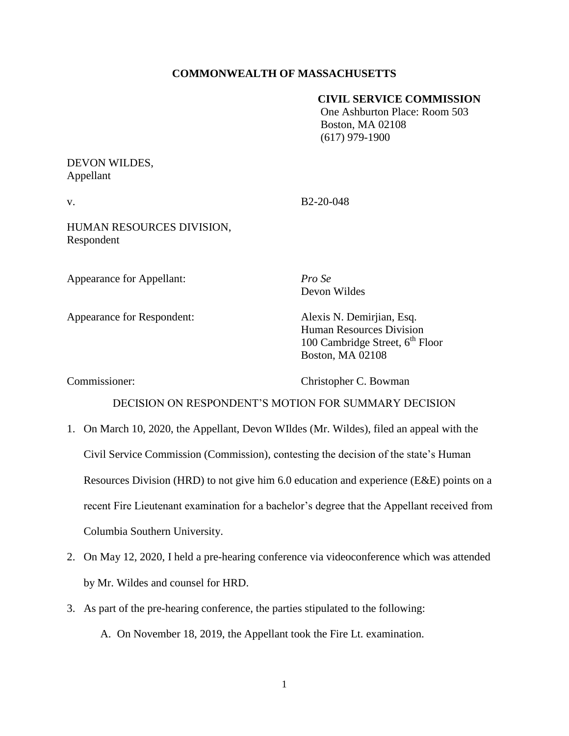## **COMMONWEALTH OF MASSACHUSETTS**

### **CIVIL SERVICE COMMISSION**

 One Ashburton Place: Room 503 Boston, MA 02108 (617) 979-1900

# DEVON WILDES, Appellant

v. B2-20-048

HUMAN RESOURCES DIVISION, Respondent

Appearance for Appellant: *Pro Se*

Appearance for Respondent: Alexis N. Demirjian, Esq.

Devon Wildes

Human Resources Division 100 Cambridge Street,  $6^{th}$  Floor Boston, MA 02108

Commissioner: Christopher C. Bowman

## DECISION ON RESPONDENT'S MOTION FOR SUMMARY DECISION

- 1. On March 10, 2020, the Appellant, Devon WIldes (Mr. Wildes), filed an appeal with the Civil Service Commission (Commission), contesting the decision of the state's Human Resources Division (HRD) to not give him 6.0 education and experience (E&E) points on a recent Fire Lieutenant examination for a bachelor's degree that the Appellant received from Columbia Southern University.
- 2. On May 12, 2020, I held a pre-hearing conference via videoconference which was attended by Mr. Wildes and counsel for HRD.
- 3. As part of the pre-hearing conference, the parties stipulated to the following:

A. On November 18, 2019, the Appellant took the Fire Lt. examination.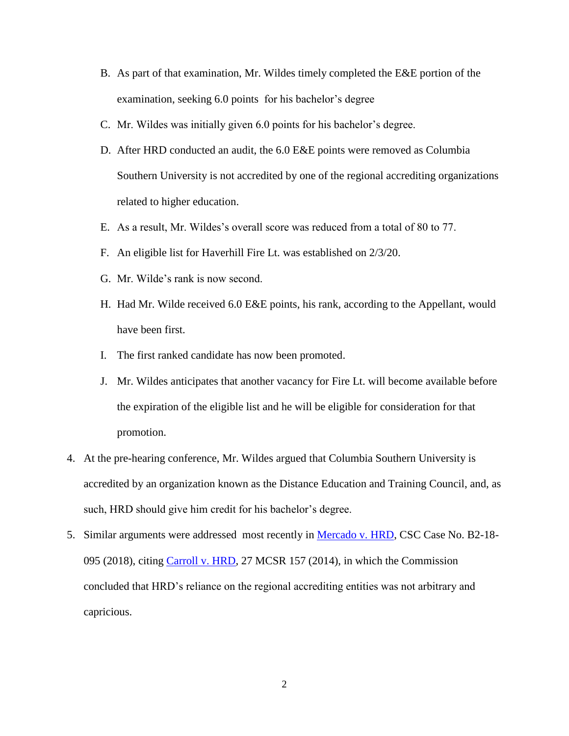- B. As part of that examination, Mr. Wildes timely completed the E&E portion of the examination, seeking 6.0 points for his bachelor's degree
- C. Mr. Wildes was initially given 6.0 points for his bachelor's degree.
- D. After HRD conducted an audit, the 6.0 E&E points were removed as Columbia Southern University is not accredited by one of the regional accrediting organizations related to higher education.
- E. As a result, Mr. Wildes's overall score was reduced from a total of 80 to 77.
- F. An eligible list for Haverhill Fire Lt. was established on 2/3/20.
- G. Mr. Wilde's rank is now second.
- H. Had Mr. Wilde received 6.0 E&E points, his rank, according to the Appellant, would have been first.
- I. The first ranked candidate has now been promoted.
- J. Mr. Wildes anticipates that another vacancy for Fire Lt. will become available before the expiration of the eligible list and he will be eligible for consideration for that promotion.
- 4. At the pre-hearing conference, Mr. Wildes argued that Columbia Southern University is accredited by an organization known as the Distance Education and Training Council, and, as such, HRD should give him credit for his bachelor's degree.
- 5. Similar arguments were addressed most recently in [Mercado v. HRD,](https://www.mass.gov/doc/mercado-kerwin-v-human-resources-division-11818/download) CSC Case No. B2-18-095 (2018), citing [Carroll v. HRD,](https://www.mass.gov/doc/carroll-daniel-v-human-resources-division-3614/download) 27 MCSR 157 (2014), in which the Commission concluded that HRD's reliance on the regional accrediting entities was not arbitrary and capricious.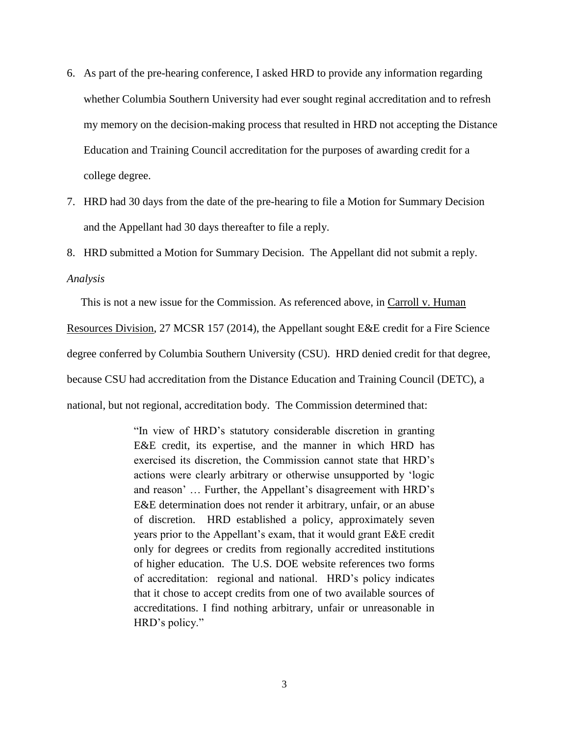- 6. As part of the pre-hearing conference, I asked HRD to provide any information regarding whether Columbia Southern University had ever sought reginal accreditation and to refresh my memory on the decision-making process that resulted in HRD not accepting the Distance Education and Training Council accreditation for the purposes of awarding credit for a college degree.
- 7. HRD had 30 days from the date of the pre-hearing to file a Motion for Summary Decision and the Appellant had 30 days thereafter to file a reply.
- 8. HRD submitted a Motion for Summary Decision. The Appellant did not submit a reply.

#### *Analysis*

This is not a new issue for the Commission. As referenced above, in Carroll v. Human

Resources Division, 27 MCSR 157 (2014), the Appellant sought E&E credit for a Fire Science

degree conferred by Columbia Southern University (CSU). HRD denied credit for that degree,

because CSU had accreditation from the Distance Education and Training Council (DETC), a

national, but not regional, accreditation body. The Commission determined that:

"In view of HRD's statutory considerable discretion in granting E&E credit, its expertise, and the manner in which HRD has exercised its discretion, the Commission cannot state that HRD's actions were clearly arbitrary or otherwise unsupported by 'logic and reason' … Further, the Appellant's disagreement with HRD's E&E determination does not render it arbitrary, unfair, or an abuse of discretion. HRD established a policy, approximately seven years prior to the Appellant's exam, that it would grant E&E credit only for degrees or credits from regionally accredited institutions of higher education. The U.S. DOE website references two forms of accreditation: regional and national. HRD's policy indicates that it chose to accept credits from one of two available sources of accreditations. I find nothing arbitrary, unfair or unreasonable in HRD's policy."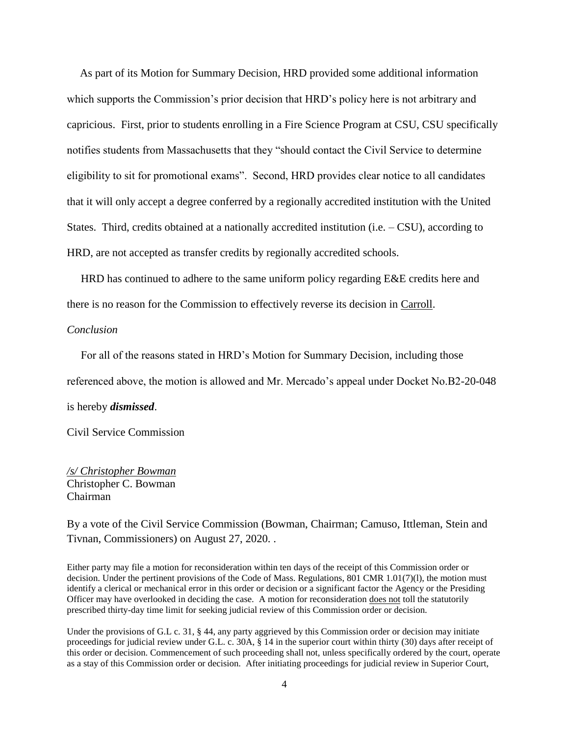As part of its Motion for Summary Decision, HRD provided some additional information which supports the Commission's prior decision that HRD's policy here is not arbitrary and capricious. First, prior to students enrolling in a Fire Science Program at CSU, CSU specifically notifies students from Massachusetts that they "should contact the Civil Service to determine eligibility to sit for promotional exams". Second, HRD provides clear notice to all candidates that it will only accept a degree conferred by a regionally accredited institution with the United States. Third, credits obtained at a nationally accredited institution (i.e. – CSU), according to HRD, are not accepted as transfer credits by regionally accredited schools.

 HRD has continued to adhere to the same uniform policy regarding E&E credits here and there is no reason for the Commission to effectively reverse its decision in Carroll.

#### *Conclusion*

 For all of the reasons stated in HRD's Motion for Summary Decision, including those referenced above, the motion is allowed and Mr. Mercado's appeal under Docket No.B2-20-048 is hereby *dismissed*.

Civil Service Commission

*/s/ Christopher Bowman* Christopher C. Bowman Chairman

By a vote of the Civil Service Commission (Bowman, Chairman; Camuso, Ittleman, Stein and Tivnan, Commissioners) on August 27, 2020. .

Either party may file a motion for reconsideration within ten days of the receipt of this Commission order or decision. Under the pertinent provisions of the Code of Mass. Regulations, 801 CMR 1.01(7)(l), the motion must identify a clerical or mechanical error in this order or decision or a significant factor the Agency or the Presiding Officer may have overlooked in deciding the case. A motion for reconsideration does not toll the statutorily prescribed thirty-day time limit for seeking judicial review of this Commission order or decision.

Under the provisions of G.L c. 31, § 44, any party aggrieved by this Commission order or decision may initiate proceedings for judicial review under G.L. c. 30A, § 14 in the superior court within thirty (30) days after receipt of this order or decision. Commencement of such proceeding shall not, unless specifically ordered by the court, operate as a stay of this Commission order or decision. After initiating proceedings for judicial review in Superior Court,